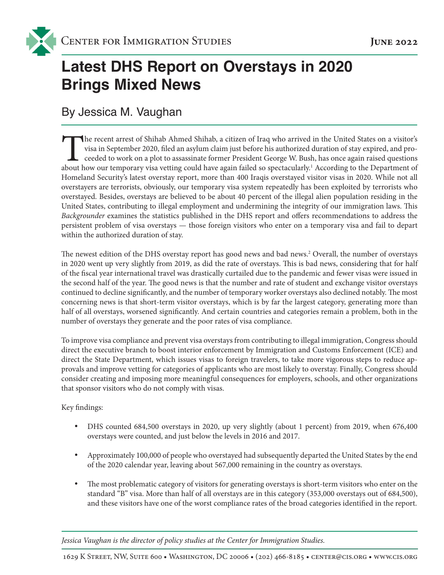<span id="page-0-0"></span>

# **Latest DHS Report on Overstays in 2020 Brings Mixed News**

By Jessica M. Vaughan

The recent arrest of Shihab Ahmed Shihab, a citizen of Iraq who arrived in the United States on a visitor's visa in September 2020, filed an asylum claim just before his authorized duration of stay expired, and proceeded to work on a plot to assassinate former President George W. Bush, has once again raised questions about how our temporary visa vetting could have again failed so spectacularly.<sup>1</sup> According to the Department of Homeland Security's latest overstay report, more than 400 Iraqis overstayed visitor visas in 2020. While not all overstayers are terrorists, obviously, our temporary visa system repeatedly has been exploited by terrorists who overstayed. Besides, overstays are believed to be about 40 percent of the illegal alien population residing in the United States, contributing to illegal employment and undermining the integrity of our immigration laws. This *Backgrounder* examines the statistics published in the DHS report and offers recommendations to address the persistent problem of visa overstays — those foreign visitors who enter on a temporary visa and fail to depart within the authorized duration of stay.

The newest edition of the DHS overstay report has good news and bad news.<sup>2</sup> Overall, the number of overstays in 2020 went up very slightly from 2019, as did the rate of overstays. This is bad news, considering that for half of the fiscal year international travel was drastically curtailed due to the pandemic and fewer visas were issued in the second half of the year. The good news is that the number and rate of student and exchange visitor overstays continued to decline significantly, and the number of temporary worker overstays also declined notably. The most concerning news is that short-term visitor overstays, which is by far the largest category, generating more than half of all overstays, worsened significantly. And certain countries and categories remain a problem, both in the number of overstays they generate and the poor rates of visa compliance.

To improve visa compliance and prevent visa overstays from contributing to illegal immigration, Congress should direct the executive branch to boost interior enforcement by Immigration and Customs Enforcement (ICE) and direct the State Department, which issues visas to foreign travelers, to take more vigorous steps to reduce approvals and improve vetting for categories of applicants who are most likely to overstay. Finally, Congress should consider creating and imposing more meaningful consequences for employers, schools, and other organizations that sponsor visitors who do not comply with visas.

Key findings:

- DHS counted 684,500 overstays in 2020, up very slightly (about 1 percent) from 2019, when 676,400 overstays were counted, and just below the levels in 2016 and 2017.
- Approximately 100,000 of people who overstayed had subsequently departed the United States by the end of the 2020 calendar year, leaving about 567,000 remaining in the country as overstays.
- The most problematic category of visitors for generating overstays is short-term visitors who enter on the standard "B" visa. More than half of all overstays are in this category (353,000 overstays out of 684,500), and these visitors have one of the worst compliance rates of the broad categories identified in the report.

*Jessica Vaughan is the director of policy studies at the Center for Immigration Studies.*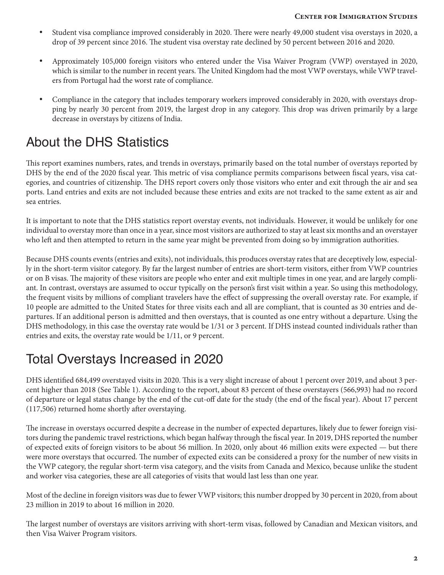- Student visa compliance improved considerably in 2020. There were nearly 49,000 student visa overstays in 2020, a drop of 39 percent since 2016. The student visa overstay rate declined by 50 percent between 2016 and 2020.
- Approximately 105,000 foreign visitors who entered under the Visa Waiver Program (VWP) overstayed in 2020, which is similar to the number in recent years. The United Kingdom had the most VWP overstays, while VWP travelers from Portugal had the worst rate of compliance.
- Compliance in the category that includes temporary workers improved considerably in 2020, with overstays dropping by nearly 30 percent from 2019, the largest drop in any category. This drop was driven primarily by a large decrease in overstays by citizens of India.

## About the DHS Statistics

This report examines numbers, rates, and trends in overstays, primarily based on the total number of overstays reported by DHS by the end of the 2020 fiscal year. This metric of visa compliance permits comparisons between fiscal years, visa categories, and countries of citizenship. The DHS report covers only those visitors who enter and exit through the air and sea ports. Land entries and exits are not included because these entries and exits are not tracked to the same extent as air and sea entries.

It is important to note that the DHS statistics report overstay events, not individuals. However, it would be unlikely for one individual to overstay more than once in a year, since most visitors are authorized to stay at least six months and an overstayer who left and then attempted to return in the same year might be prevented from doing so by immigration authorities.

Because DHS counts events (entries and exits), not individuals, this produces overstay rates that are deceptively low, especially in the short-term visitor category. By far the largest number of entries are short-term visitors, either from VWP countries or on B visas. The majority of these visitors are people who enter and exit multiple times in one year, and are largely compliant. In contrast, overstays are assumed to occur typically on the person's first visit within a year. So using this methodology, the frequent visits by millions of compliant travelers have the effect of suppressing the overall overstay rate. For example, if 10 people are admitted to the United States for three visits each and all are compliant, that is counted as 30 entries and departures. If an additional person is admitted and then overstays, that is counted as one entry without a departure. Using the DHS methodology, in this case the overstay rate would be 1/31 or 3 percent. If DHS instead counted individuals rather than entries and exits, the overstay rate would be 1/11, or 9 percent.

## Total Overstays Increased in 2020

DHS identified 684,499 overstayed visits in 2020. This is a very slight increase of about 1 percent over 2019, and about 3 percent higher than 2018 (See Table 1). According to the report, about 83 percent of these overstayers (566,993) had no record of departure or legal status change by the end of the cut-off date for the study (the end of the fiscal year). About 17 percent (117,506) returned home shortly after overstaying.

The increase in overstays occurred despite a decrease in the number of expected departures, likely due to fewer foreign visitors during the pandemic travel restrictions, which began halfway through the fiscal year. In 2019, DHS reported the number of expected exits of foreign visitors to be about 56 million. In 2020, only about 46 million exits were expected — but there were more overstays that occurred. The number of expected exits can be considered a proxy for the number of new visits in the VWP category, the regular short-term visa category, and the visits from Canada and Mexico, because unlike the student and worker visa categories, these are all categories of visits that would last less than one year.

Most of the decline in foreign visitors was due to fewer VWP visitors; this number dropped by 30 percent in 2020, from about 23 million in 2019 to about 16 million in 2020.

The largest number of overstays are visitors arriving with short-term visas, followed by Canadian and Mexican visitors, and then Visa Waiver Program visitors.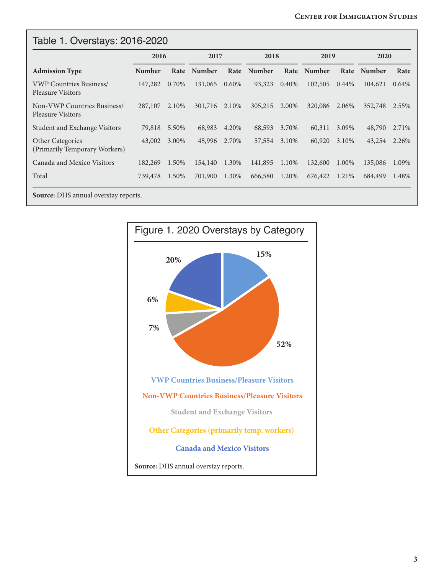| <b>Admission Type</b>                                      | 2016          |       | 2017          |          | 2018          |       | 2019    |          | 2020    |       |
|------------------------------------------------------------|---------------|-------|---------------|----------|---------------|-------|---------|----------|---------|-------|
|                                                            | <b>Number</b> | Rate  | <b>Number</b> | Rate     | <b>Number</b> | Rate  | Number  | Rate     | Number  | Rate  |
| <b>VWP Countries Business/</b><br><b>Pleasure Visitors</b> | 147,282       | 0.70% | 131,065       | $0.60\%$ | 93,323        | 0.40% | 102,505 | $0.44\%$ | 104,621 | 0.64% |
| Non-VWP Countries Business/<br><b>Pleasure Visitors</b>    | 287,107       | 2.10% | 301,716       | 2.10%    | 305,215       | 2.00% | 320,086 | 2.06%    | 352,748 | 2.55% |
| Student and Exchange Visitors                              | 79,818        | 5.50% | 68,983        | 4.20%    | 68,593        | 3.70% | 60,311  | 3.09%    | 48,790  | 2.71% |
| <b>Other Categories</b><br>(Primarily Temporary Workers)   | 43,002        | 3.00% | 45,996        | 2.70%    | 57,554        | 3.10% | 60,920  | 3.10%    | 43,254  | 2.26% |
| Canada and Mexico Visitors                                 | 182,269       | 1.50% | 154,140       | 1.30%    | 141,895       | 1.10% | 132,600 | 1.00%    | 135,086 | 1.09% |
| Total                                                      | 739,478       | 1.50% | 701,900       | 1.30%    | 666,580       | 1.20% | 676,422 | 1.21%    | 684,499 | 1.48% |

**Source:** DHS annual overstay reports.

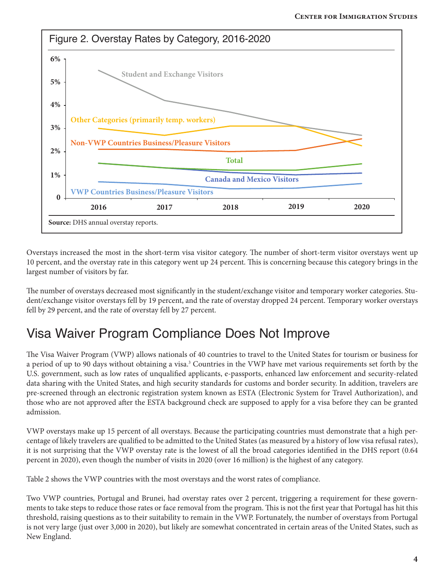<span id="page-3-0"></span>

Overstays increased the most in the short-term visa visitor category. The number of short-term visitor overstays went up 10 percent, and the overstay rate in this category went up 24 percent. This is concerning because this category brings in the largest number of visitors by far.

The number of overstays decreased most significantly in the student/exchange visitor and temporary worker categories. Student/exchange visitor overstays fell by 19 percent, and the rate of overstay dropped 24 percent. Temporary worker overstays fell by 29 percent, and the rate of overstay fell by 27 percent.

### Visa Waiver Program Compliance Does Not Improve

The Visa Waiver Program (VWP) allows nationals of 40 countries to travel to the United States for tourism or business for a period of up to 90 days without obtaining a visa.<sup>3</sup> Countries in the VWP have met various requirements set forth by the U.S. government, such as low rates of unqualified applicants, e-passports, enhanced law enforcement and security-related data sharing with the United States, and high security standards for customs and border security. In addition, travelers are pre-screened through an electronic registration system known as ESTA (Electronic System for Travel Authorization), and those who are not approved after the ESTA background check are supposed to apply for a visa before they can be granted admission.

VWP overstays make up 15 percent of all overstays. Because the participating countries must demonstrate that a high percentage of likely travelers are qualified to be admitted to the United States (as measured by a history of low visa refusal rates), it is not surprising that the VWP overstay rate is the lowest of all the broad categories identified in the DHS report (0.64 percent in 2020), even though the number of visits in 2020 (over 16 million) is the highest of any category.

Table 2 shows the VWP countries with the most overstays and the worst rates of compliance.

Two VWP countries, Portugal and Brunei, had overstay rates over 2 percent, triggering a requirement for these governments to take steps to reduce those rates or face removal from the program. This is not the first year that Portugal has hit this threshold, raising questions as to their suitability to remain in the VWP. Fortunately, the number of overstays from Portugal is not very large (just over 3,000 in 2020), but likely are somewhat concentrated in certain areas of the United States, such as New England.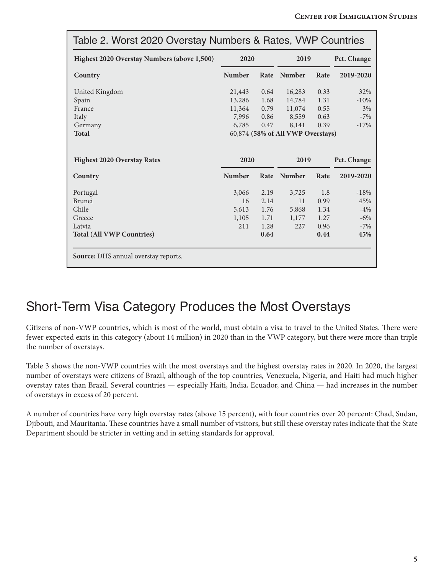| Table 2. Worst 2020 Overstay Numbers & Rates, VWP Countries |               |      |                                   |      |             |  |
|-------------------------------------------------------------|---------------|------|-----------------------------------|------|-------------|--|
| Highest 2020 Overstay Numbers (above 1,500)                 | 2020          |      | 2019                              |      | Pct. Change |  |
| Country                                                     | <b>Number</b> | Rate | <b>Number</b>                     | Rate | 2019-2020   |  |
| United Kingdom                                              | 21,443        | 0.64 | 16,283                            | 0.33 | 32%         |  |
| Spain                                                       | 13,286        | 1.68 | 14,784                            | 1.31 | $-10%$      |  |
| France                                                      | 11,364        | 0.79 | 11,074                            | 0.55 | 3%          |  |
| Italy                                                       | 7,996         | 0.86 | 8,559                             | 0.63 | $-7%$       |  |
| Germany                                                     | 6,785         | 0.47 | 8,141                             | 0.39 | $-17%$      |  |
| <b>Total</b>                                                |               |      | 60,874 (58% of All VWP Overstays) |      |             |  |
|                                                             | 2020          |      | 2019                              |      | Pct. Change |  |
| <b>Highest 2020 Overstay Rates</b>                          |               |      |                                   |      |             |  |
| Country                                                     | <b>Number</b> |      | Rate Number                       | Rate | 2019-2020   |  |
| Portugal                                                    | 3,066         | 2.19 | 3,725                             | 1.8  | $-18%$      |  |
| Brunei                                                      | 16            | 2.14 | 11                                | 0.99 | 45%         |  |
| Chile                                                       | 5,613         | 1.76 | 5,868                             | 1.34 | $-4%$       |  |
| Greece                                                      | 1,105         | 1.71 | 1,177                             | 1.27 | $-6%$       |  |
| Latvia                                                      | 211           | 1.28 | 227                               | 0.96 | $-7%$       |  |
| <b>Total (All VWP Countries)</b>                            |               | 0.64 |                                   | 0.44 | 45%         |  |

#### Short-Term Visa Category Produces the Most Overstays

Citizens of non-VWP countries, which is most of the world, must obtain a visa to travel to the United States. There were fewer expected exits in this category (about 14 million) in 2020 than in the VWP category, but there were more than triple the number of overstays.

Table 3 shows the non-VWP countries with the most overstays and the highest overstay rates in 2020. In 2020, the largest number of overstays were citizens of Brazil, although of the top countries, Venezuela, Nigeria, and Haiti had much higher overstay rates than Brazil. Several countries — especially Haiti, India, Ecuador, and China — had increases in the number of overstays in excess of 20 percent.

A number of countries have very high overstay rates (above 15 percent), with four countries over 20 percent: Chad, Sudan, Djibouti, and Mauritania. These countries have a small number of visitors, but still these overstay rates indicate that the State Department should be stricter in vetting and in setting standards for approval.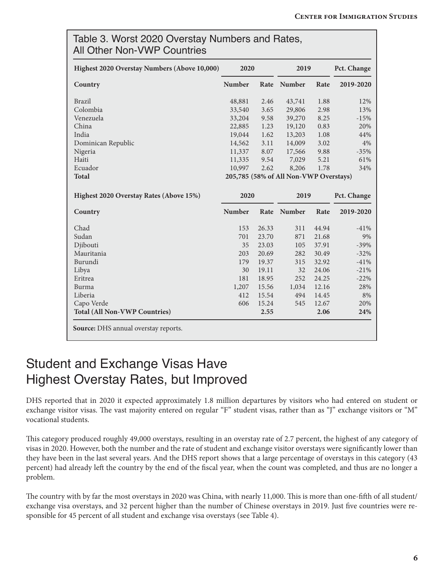| Highest 2020 Overstay Numbers (Above 10,000) | 2020                                   |       | 2019   |       | Pct. Change |  |  |
|----------------------------------------------|----------------------------------------|-------|--------|-------|-------------|--|--|
| Country                                      | Number                                 | Rate  | Number | Rate  | 2019-2020   |  |  |
| <b>Brazil</b>                                | 48,881                                 | 2.46  | 43,741 | 1.88  | 12%         |  |  |
| Colombia                                     | 33,540                                 | 3.65  | 29,806 | 2.98  | 13%         |  |  |
| Venezuela                                    | 33,204                                 | 9.58  | 39,270 | 8.25  | $-15%$      |  |  |
| China                                        | 22,885                                 | 1.23  | 19,120 | 0.83  | 20%         |  |  |
| India                                        | 19,044                                 | 1.62  | 13,203 | 1.08  | 44%         |  |  |
| Dominican Republic                           | 14,562                                 | 3.11  | 14,009 | 3.02  | 4%          |  |  |
| Nigeria                                      | 11,337                                 | 8.07  | 17,566 | 9.88  | $-35%$      |  |  |
| Haiti                                        | 11,335                                 | 9.54  | 7,029  | 5.21  | 61%         |  |  |
| Ecuador                                      | 10,997                                 | 2.62  | 8,206  | 1.78  | 34%         |  |  |
| <b>Total</b>                                 | 205,785 (58% of All Non-VWP Overstays) |       |        |       |             |  |  |
| Highest 2020 Overstay Rates (Above 15%)      | 2020                                   |       | 2019   |       | Pct. Change |  |  |
| Country                                      | Number                                 | Rate  | Number | Rate  | 2019-2020   |  |  |
| Chad                                         | 153                                    | 26.33 | 311    | 44.94 | $-41%$      |  |  |
| Sudan                                        | 701                                    | 23.70 | 871    | 21.68 | 9%          |  |  |
| Djibouti                                     | 35                                     | 23.03 | 105    | 37.91 | $-39%$      |  |  |
| Mauritania                                   | 203                                    | 20.69 | 282    | 30.49 | $-32%$      |  |  |
|                                              | 179                                    | 19.37 | 315    | 32.92 | $-41%$      |  |  |
| Burundi                                      | 30                                     | 19.11 | 32     | 24.06 | $-21%$      |  |  |
| Libya                                        |                                        |       | 252    | 24.25 | $-22%$      |  |  |
| Eritrea                                      | 181                                    | 18.95 |        |       |             |  |  |
| Burma                                        | 1,207                                  | 15.56 | 1,034  | 12.16 |             |  |  |
| Liberia                                      | 412                                    | 15.54 | 494    | 14.45 | 28%<br>8%   |  |  |
| Capo Verde                                   | 606                                    | 15.24 | 545    | 12.67 | 20%         |  |  |

#### Student and Exchange Visas Have Highest Overstay Rates, but Improved

DHS reported that in 2020 it expected approximately 1.8 million departures by visitors who had entered on student or exchange visitor visas. The vast majority entered on regular "F" student visas, rather than as "J" exchange visitors or "M" vocational students.

This category produced roughly 49,000 overstays, resulting in an overstay rate of 2.7 percent, the highest of any category of visas in 2020. However, both the number and the rate of student and exchange visitor overstays were significantly lower than they have been in the last several years. And the DHS report shows that a large percentage of overstays in this category (43 percent) had already left the country by the end of the fiscal year, when the count was completed, and thus are no longer a problem.

The country with by far the most overstays in 2020 was China, with nearly 11,000. This is more than one-fifth of all student/ exchange visa overstays, and 32 percent higher than the number of Chinese overstays in 2019. Just five countries were responsible for 45 percent of all student and exchange visa overstays (see Table 4).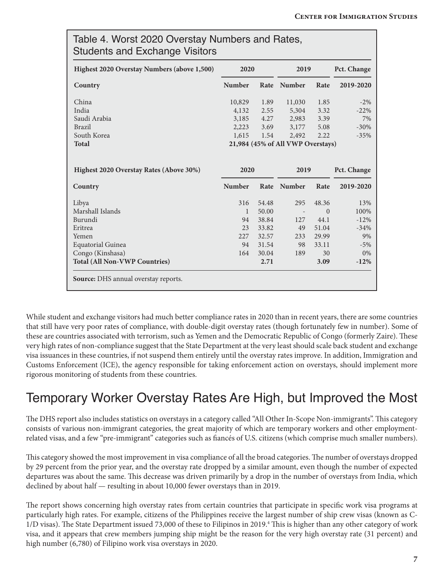<span id="page-6-0"></span>

| Highest 2020 Overstay Numbers (above 1,500) | 2020          |       | 2019                              |          | Pct. Change      |  |
|---------------------------------------------|---------------|-------|-----------------------------------|----------|------------------|--|
| Country                                     | <b>Number</b> | Rate  | <b>Number</b>                     | Rate     | 2019-2020        |  |
| China                                       | 10,829        | 1.89  | 11,030                            | 1.85     | $-2\%$           |  |
| India                                       | 4,132         | 2.55  | 5,304                             | 3.32     | $-22%$           |  |
| Saudi Arabia                                | 3,185         | 4.27  | 2,983                             | 3.39     | 7%               |  |
| <b>Brazil</b>                               | 2,223         | 3.69  | 3,177                             | 5.08     | $-30%$           |  |
| South Korea                                 | 1,615         | 1.54  | 2,492                             | 2.22     | $-35%$           |  |
| <b>Total</b>                                |               |       | 21,984 (45% of All VWP Overstays) |          |                  |  |
|                                             |               |       |                                   |          |                  |  |
|                                             |               |       |                                   |          |                  |  |
| Highest 2020 Overstay Rates (Above 30%)     | 2020          |       | 2019                              |          | Pct. Change      |  |
| Country                                     | <b>Number</b> | Rate  | Number                            | Rate     | 2019-2020        |  |
| Libya                                       | 316           | 54.48 | 295                               | 48.36    | 13%              |  |
| Marshall Islands                            | $\mathbf{1}$  | 50.00 |                                   | $\theta$ | 100%             |  |
| Burundi                                     | 94            | 38.84 | 127                               | 44.1     |                  |  |
| Eritrea                                     | 23            | 33.82 | 49                                | 51.04    | $-12%$<br>$-34%$ |  |
| Yemen                                       | 227           | 32.57 | 233                               | 29.99    |                  |  |
| <b>Equatorial Guinea</b>                    | 94            | 31.54 | 98                                | 33.11    | 9%<br>$-5%$      |  |
| Congo (Kinshasa)                            | 164           | 30.04 | 189                               | 30       | $0\%$            |  |

While student and exchange visitors had much better compliance rates in 2020 than in recent years, there are some countries that still have very poor rates of compliance, with double-digit overstay rates (though fortunately few in number). Some of these are countries associated with terrorism, such as Yemen and the Democratic Republic of Congo (formerly Zaire). These very high rates of non-compliance suggest that the State Department at the very least should scale back student and exchange visa issuances in these countries, if not suspend them entirely until the overstay rates improve. In addition, Immigration and Customs Enforcement (ICE), the agency responsible for taking enforcement action on overstays, should implement more rigorous monitoring of students from these countries.

## Temporary Worker Overstay Rates Are High, but Improved the Most

The DHS report also includes statistics on overstays in a category called "All Other In-Scope Non-immigrants". This category consists of various non-immigrant categories, the great majority of which are temporary workers and other employmentrelated visas, and a few "pre-immigrant" categories such as fiancés of U.S. citizens (which comprise much smaller numbers).

This category showed the most improvement in visa compliance of all the broad categories. The number of overstays dropped by 29 percent from the prior year, and the overstay rate dropped by a similar amount, even though the number of expected departures was about the same. This decrease was driven primarily by a drop in the number of overstays from India, which declined by about half — resulting in about 10,000 fewer overstays than in 2019.

The report shows concerning high overstay rates from certain countries that participate in specific work visa programs at particularly high rates. For example, citizens of the Philippines receive the largest number of ship crew visas (known as C-1/D visas). The State Department issued 73,000 of these to Filipinos in 2019.<sup>[4](#page-9-0)</sup> This is higher than any other category of work visa, and it appears that crew members jumping ship might be the reason for the very high overstay rate (31 percent) and high number (6,780) of Filipino work visa overstays in 2020.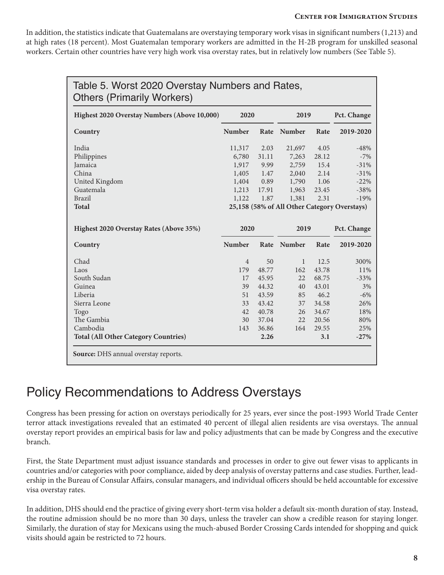#### **Center for Immigration Studies**

In addition, the statistics indicate that Guatemalans are overstaying temporary work visas in significant numbers (1,213) and at high rates (18 percent). Most Guatemalan temporary workers are admitted in the H-2B program for unskilled seasonal workers. Certain other countries have very high work visa overstay rates, but in relatively low numbers (See Table 5).

| Table 5. Worst 2020 Overstay Numbers and Rates,<br><b>Others (Primarily Workers)</b> |                                              |       |               |       |             |  |  |
|--------------------------------------------------------------------------------------|----------------------------------------------|-------|---------------|-------|-------------|--|--|
| Highest 2020 Overstay Numbers (Above 10,000)                                         | 2020                                         |       | 2019          |       | Pct. Change |  |  |
| Country                                                                              | <b>Number</b>                                | Rate  | <b>Number</b> | Rate  | 2019-2020   |  |  |
| India                                                                                | 11,317                                       | 2.03  | 21,697        | 4.05  | $-48%$      |  |  |
| Philippines                                                                          | 6,780                                        | 31.11 | 7,263         | 28.12 | $-7%$       |  |  |
| Jamaica                                                                              | 1,917                                        | 9.99  | 2,759         | 15.4  | $-31%$      |  |  |
| China                                                                                | 1,405                                        | 1.47  | 2,040         | 2.14  | $-31%$      |  |  |
| United Kingdom                                                                       | 1,404                                        | 0.89  | 1,790         | 1.06  | $-22%$      |  |  |
| Guatemala                                                                            | 1,213                                        | 17.91 | 1,963         | 23.45 | $-38%$      |  |  |
| <b>Brazil</b>                                                                        | 1,122                                        | 1.87  | 1,381         | 2.31  | $-19%$      |  |  |
| <b>Total</b>                                                                         | 25,158 (58% of All Other Category Overstays) |       |               |       |             |  |  |
| Highest 2020 Overstay Rates (Above 35%)                                              | 2020                                         |       | 2019          |       | Pct. Change |  |  |
| Country                                                                              | <b>Number</b>                                | Rate  | <b>Number</b> | Rate  | 2019-2020   |  |  |
| Chad                                                                                 | $\overline{4}$                               | 50    | $\mathbf{1}$  | 12.5  | 300%        |  |  |
| Laos                                                                                 | 179                                          | 48.77 | 162           | 43.78 | 11%         |  |  |
| South Sudan                                                                          | 17                                           | 45.95 | 22            | 68.75 | $-33%$      |  |  |
| Guinea                                                                               | 39                                           | 44.32 | 40            | 43.01 | 3%          |  |  |
| Liberia                                                                              | 51                                           | 43.59 | 85            | 46.2  | $-6%$       |  |  |
| Sierra Leone                                                                         | 33                                           | 43.42 | 37            | 34.58 | 26%         |  |  |
| Togo                                                                                 | 42                                           | 40.78 | 26            | 34.67 | 18%         |  |  |
| The Gambia                                                                           | 30                                           | 37.04 | 22            | 20.56 | 80%         |  |  |
| Cambodia                                                                             | 143                                          | 36.86 | 164           | 29.55 | 25%         |  |  |
|                                                                                      |                                              | 2.26  |               | 3.1   | $-27%$      |  |  |

#### Policy Recommendations to Address Overstays

Congress has been pressing for action on overstays periodically for 25 years, ever since the post-1993 World Trade Center terror attack investigations revealed that an estimated 40 percent of illegal alien residents are visa overstays. The annual overstay report provides an empirical basis for law and policy adjustments that can be made by Congress and the executive branch.

First, the State Department must adjust issuance standards and processes in order to give out fewer visas to applicants in countries and/or categories with poor compliance, aided by deep analysis of overstay patterns and case studies. Further, leadership in the Bureau of Consular Affairs, consular managers, and individual officers should be held accountable for excessive visa overstay rates.

In addition, DHS should end the practice of giving every short-term visa holder a default six-month duration of stay. Instead, the routine admission should be no more than 30 days, unless the traveler can show a credible reason for staying longer. Similarly, the duration of stay for Mexicans using the much-abused Border Crossing Cards intended for shopping and quick visits should again be restricted to 72 hours.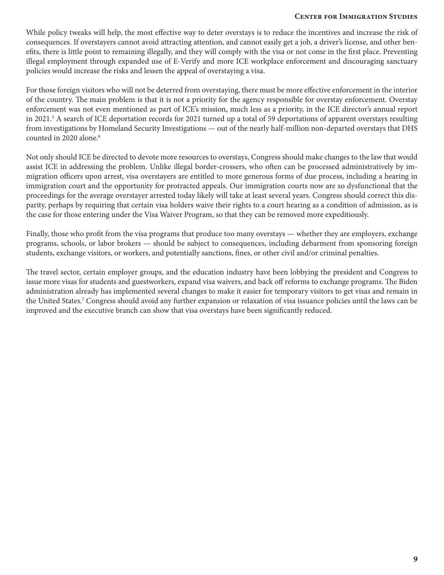#### **Center for Immigration Studies**

<span id="page-8-0"></span>While policy tweaks will help, the most effective way to deter overstays is to reduce the incentives and increase the risk of consequences. If overstayers cannot avoid attracting attention, and cannot easily get a job, a driver's license, and other benefits, there is little point to remaining illegally, and they will comply with the visa or not come in the first place. Preventing illegal employment through expanded use of E-Verify and more ICE workplace enforcement and discouraging sanctuary policies would increase the risks and lessen the appeal of overstaying a visa.

For those foreign visitors who will not be deterred from overstaying, there must be more effective enforcement in the interior of the country. The main problem is that it is not a priority for the agency responsible for overstay enforcement. Overstay enforcement was not even mentioned as part of ICE's mission, much less as a priority, in the ICE director's annual report in 2021[.5](#page-9-0) A search of ICE deportation records for 2021 turned up a total of 59 deportations of apparent overstays resulting from investigations by Homeland Security Investigations — out of the nearly half-million non-departed overstays that DHS counted in 2020 alone.<sup>6</sup>

Not only should ICE be directed to devote more resources to overstays, Congress should make changes to the law that would assist ICE in addressing the problem. Unlike illegal border-crossers, who often can be processed administratively by immigration officers upon arrest, visa overstayers are entitled to more generous forms of due process, including a hearing in immigration court and the opportunity for protracted appeals. Our immigration courts now are so dysfunctional that the proceedings for the average overstayer arrested today likely will take at least several years. Congress should correct this disparity, perhaps by requiring that certain visa holders waive their rights to a court hearing as a condition of admission, as is the case for those entering under the Visa Waiver Program, so that they can be removed more expeditiously.

Finally, those who profit from the visa programs that produce too many overstays — whether they are employers, exchange programs, schools, or labor brokers — should be subject to consequences, including debarment from sponsoring foreign students, exchange visitors, or workers, and potentially sanctions, fines, or other civil and/or criminal penalties.

The travel sector, certain employer groups, and the education industry have been lobbying the president and Congress to issue more visas for students and guestworkers, expand visa waivers, and back off reforms to exchange programs. The Biden administration already has implemented several changes to make it easier for temporary visitors to get visas and remain in the United States.<sup>7</sup> Congress should avoid any further expansion or relaxation of visa issuance policies until the laws can be improved and the executive branch can show that visa overstays have been significantly reduced.